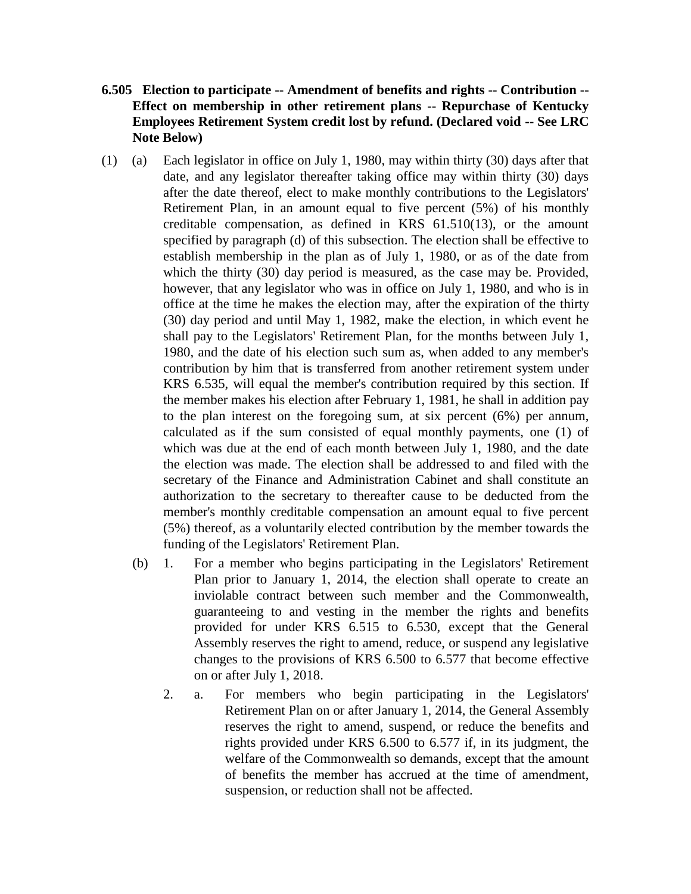- **6.505 Election to participate -- Amendment of benefits and rights -- Contribution -- Effect on membership in other retirement plans -- Repurchase of Kentucky Employees Retirement System credit lost by refund. (Declared void -- See LRC Note Below)**
- (1) (a) Each legislator in office on July 1, 1980, may within thirty (30) days after that date, and any legislator thereafter taking office may within thirty (30) days after the date thereof, elect to make monthly contributions to the Legislators' Retirement Plan, in an amount equal to five percent (5%) of his monthly creditable compensation, as defined in KRS 61.510(13), or the amount specified by paragraph (d) of this subsection. The election shall be effective to establish membership in the plan as of July 1, 1980, or as of the date from which the thirty (30) day period is measured, as the case may be. Provided, however, that any legislator who was in office on July 1, 1980, and who is in office at the time he makes the election may, after the expiration of the thirty (30) day period and until May 1, 1982, make the election, in which event he shall pay to the Legislators' Retirement Plan, for the months between July 1, 1980, and the date of his election such sum as, when added to any member's contribution by him that is transferred from another retirement system under KRS 6.535, will equal the member's contribution required by this section. If the member makes his election after February 1, 1981, he shall in addition pay to the plan interest on the foregoing sum, at six percent (6%) per annum, calculated as if the sum consisted of equal monthly payments, one (1) of which was due at the end of each month between July 1, 1980, and the date the election was made. The election shall be addressed to and filed with the secretary of the Finance and Administration Cabinet and shall constitute an authorization to the secretary to thereafter cause to be deducted from the member's monthly creditable compensation an amount equal to five percent (5%) thereof, as a voluntarily elected contribution by the member towards the funding of the Legislators' Retirement Plan.
	- (b) 1. For a member who begins participating in the Legislators' Retirement Plan prior to January 1, 2014, the election shall operate to create an inviolable contract between such member and the Commonwealth, guaranteeing to and vesting in the member the rights and benefits provided for under KRS 6.515 to 6.530, except that the General Assembly reserves the right to amend, reduce, or suspend any legislative changes to the provisions of KRS 6.500 to 6.577 that become effective on or after July 1, 2018.
		- 2. a. For members who begin participating in the Legislators' Retirement Plan on or after January 1, 2014, the General Assembly reserves the right to amend, suspend, or reduce the benefits and rights provided under KRS 6.500 to 6.577 if, in its judgment, the welfare of the Commonwealth so demands, except that the amount of benefits the member has accrued at the time of amendment, suspension, or reduction shall not be affected.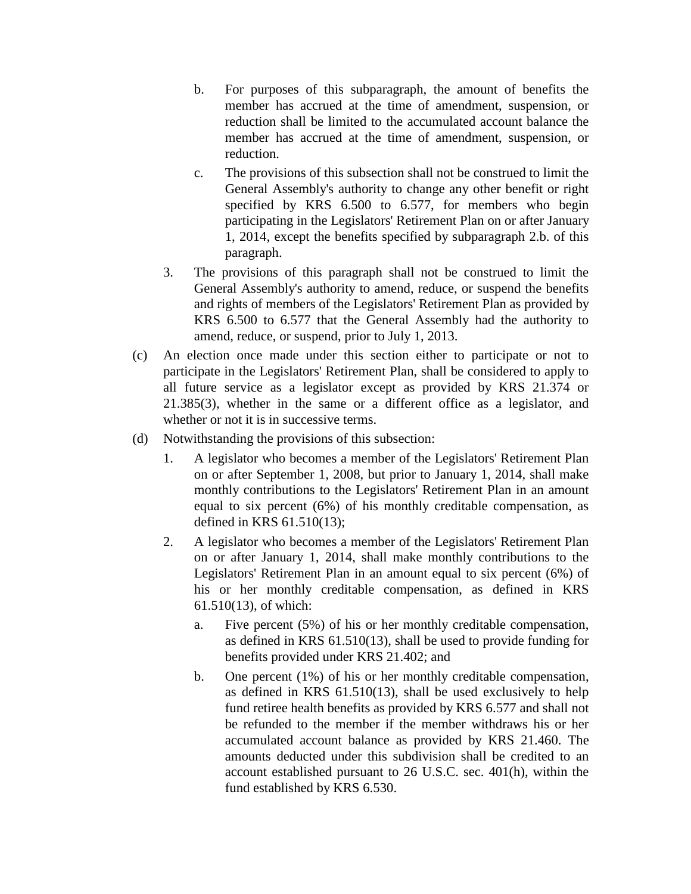- b. For purposes of this subparagraph, the amount of benefits the member has accrued at the time of amendment, suspension, or reduction shall be limited to the accumulated account balance the member has accrued at the time of amendment, suspension, or reduction.
- c. The provisions of this subsection shall not be construed to limit the General Assembly's authority to change any other benefit or right specified by KRS 6.500 to 6.577, for members who begin participating in the Legislators' Retirement Plan on or after January 1, 2014, except the benefits specified by subparagraph 2.b. of this paragraph.
- 3. The provisions of this paragraph shall not be construed to limit the General Assembly's authority to amend, reduce, or suspend the benefits and rights of members of the Legislators' Retirement Plan as provided by KRS 6.500 to 6.577 that the General Assembly had the authority to amend, reduce, or suspend, prior to July 1, 2013.
- (c) An election once made under this section either to participate or not to participate in the Legislators' Retirement Plan, shall be considered to apply to all future service as a legislator except as provided by KRS 21.374 or 21.385(3), whether in the same or a different office as a legislator, and whether or not it is in successive terms.
- (d) Notwithstanding the provisions of this subsection:
	- 1. A legislator who becomes a member of the Legislators' Retirement Plan on or after September 1, 2008, but prior to January 1, 2014, shall make monthly contributions to the Legislators' Retirement Plan in an amount equal to six percent (6%) of his monthly creditable compensation, as defined in KRS 61.510(13);
	- 2. A legislator who becomes a member of the Legislators' Retirement Plan on or after January 1, 2014, shall make monthly contributions to the Legislators' Retirement Plan in an amount equal to six percent (6%) of his or her monthly creditable compensation, as defined in KRS 61.510(13), of which:
		- a. Five percent (5%) of his or her monthly creditable compensation, as defined in KRS 61.510(13), shall be used to provide funding for benefits provided under KRS 21.402; and
		- b. One percent (1%) of his or her monthly creditable compensation, as defined in KRS 61.510(13), shall be used exclusively to help fund retiree health benefits as provided by KRS 6.577 and shall not be refunded to the member if the member withdraws his or her accumulated account balance as provided by KRS 21.460. The amounts deducted under this subdivision shall be credited to an account established pursuant to 26 U.S.C. sec. 401(h), within the fund established by KRS 6.530.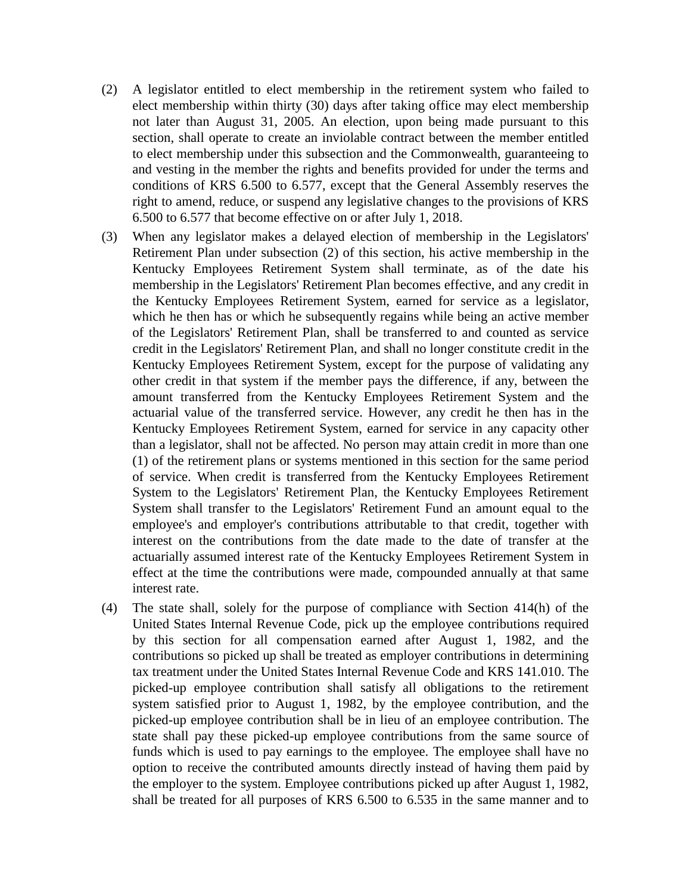- (2) A legislator entitled to elect membership in the retirement system who failed to elect membership within thirty (30) days after taking office may elect membership not later than August 31, 2005. An election, upon being made pursuant to this section, shall operate to create an inviolable contract between the member entitled to elect membership under this subsection and the Commonwealth, guaranteeing to and vesting in the member the rights and benefits provided for under the terms and conditions of KRS 6.500 to 6.577, except that the General Assembly reserves the right to amend, reduce, or suspend any legislative changes to the provisions of KRS 6.500 to 6.577 that become effective on or after July 1, 2018.
- (3) When any legislator makes a delayed election of membership in the Legislators' Retirement Plan under subsection (2) of this section, his active membership in the Kentucky Employees Retirement System shall terminate, as of the date his membership in the Legislators' Retirement Plan becomes effective, and any credit in the Kentucky Employees Retirement System, earned for service as a legislator, which he then has or which he subsequently regains while being an active member of the Legislators' Retirement Plan, shall be transferred to and counted as service credit in the Legislators' Retirement Plan, and shall no longer constitute credit in the Kentucky Employees Retirement System, except for the purpose of validating any other credit in that system if the member pays the difference, if any, between the amount transferred from the Kentucky Employees Retirement System and the actuarial value of the transferred service. However, any credit he then has in the Kentucky Employees Retirement System, earned for service in any capacity other than a legislator, shall not be affected. No person may attain credit in more than one (1) of the retirement plans or systems mentioned in this section for the same period of service. When credit is transferred from the Kentucky Employees Retirement System to the Legislators' Retirement Plan, the Kentucky Employees Retirement System shall transfer to the Legislators' Retirement Fund an amount equal to the employee's and employer's contributions attributable to that credit, together with interest on the contributions from the date made to the date of transfer at the actuarially assumed interest rate of the Kentucky Employees Retirement System in effect at the time the contributions were made, compounded annually at that same interest rate.
- (4) The state shall, solely for the purpose of compliance with Section 414(h) of the United States Internal Revenue Code, pick up the employee contributions required by this section for all compensation earned after August 1, 1982, and the contributions so picked up shall be treated as employer contributions in determining tax treatment under the United States Internal Revenue Code and KRS 141.010. The picked-up employee contribution shall satisfy all obligations to the retirement system satisfied prior to August 1, 1982, by the employee contribution, and the picked-up employee contribution shall be in lieu of an employee contribution. The state shall pay these picked-up employee contributions from the same source of funds which is used to pay earnings to the employee. The employee shall have no option to receive the contributed amounts directly instead of having them paid by the employer to the system. Employee contributions picked up after August 1, 1982, shall be treated for all purposes of KRS 6.500 to 6.535 in the same manner and to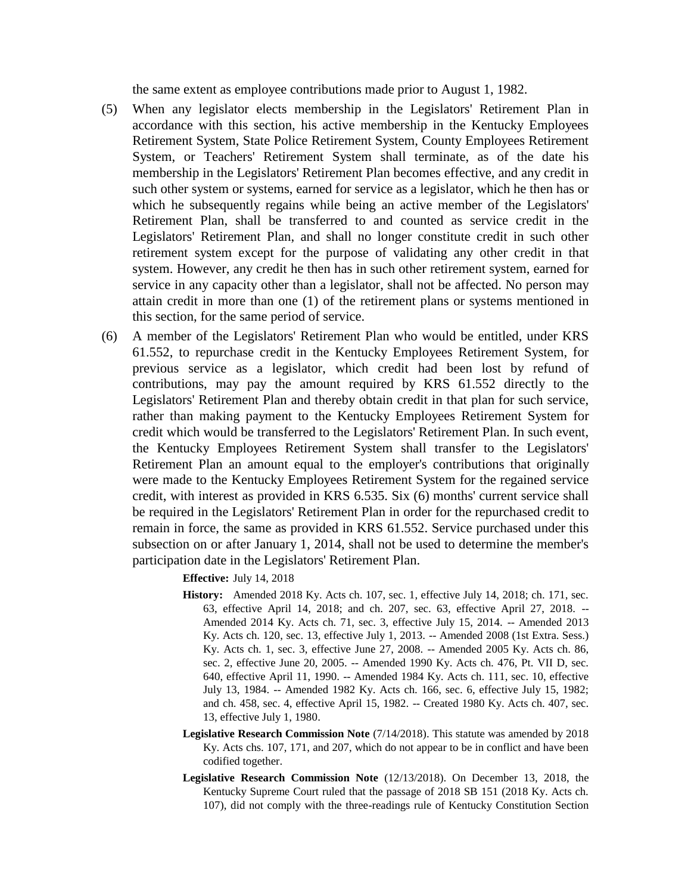the same extent as employee contributions made prior to August 1, 1982.

- (5) When any legislator elects membership in the Legislators' Retirement Plan in accordance with this section, his active membership in the Kentucky Employees Retirement System, State Police Retirement System, County Employees Retirement System, or Teachers' Retirement System shall terminate, as of the date his membership in the Legislators' Retirement Plan becomes effective, and any credit in such other system or systems, earned for service as a legislator, which he then has or which he subsequently regains while being an active member of the Legislators' Retirement Plan, shall be transferred to and counted as service credit in the Legislators' Retirement Plan, and shall no longer constitute credit in such other retirement system except for the purpose of validating any other credit in that system. However, any credit he then has in such other retirement system, earned for service in any capacity other than a legislator, shall not be affected. No person may attain credit in more than one (1) of the retirement plans or systems mentioned in this section, for the same period of service.
- (6) A member of the Legislators' Retirement Plan who would be entitled, under KRS 61.552, to repurchase credit in the Kentucky Employees Retirement System, for previous service as a legislator, which credit had been lost by refund of contributions, may pay the amount required by KRS 61.552 directly to the Legislators' Retirement Plan and thereby obtain credit in that plan for such service, rather than making payment to the Kentucky Employees Retirement System for credit which would be transferred to the Legislators' Retirement Plan. In such event, the Kentucky Employees Retirement System shall transfer to the Legislators' Retirement Plan an amount equal to the employer's contributions that originally were made to the Kentucky Employees Retirement System for the regained service credit, with interest as provided in KRS 6.535. Six (6) months' current service shall be required in the Legislators' Retirement Plan in order for the repurchased credit to remain in force, the same as provided in KRS 61.552. Service purchased under this subsection on or after January 1, 2014, shall not be used to determine the member's participation date in the Legislators' Retirement Plan.

**Effective:** July 14, 2018

- **History:** Amended 2018 Ky. Acts ch. 107, sec. 1, effective July 14, 2018; ch. 171, sec. 63, effective April 14, 2018; and ch. 207, sec. 63, effective April 27, 2018. -- Amended 2014 Ky. Acts ch. 71, sec. 3, effective July 15, 2014. -- Amended 2013 Ky. Acts ch. 120, sec. 13, effective July 1, 2013. -- Amended 2008 (1st Extra. Sess.) Ky. Acts ch. 1, sec. 3, effective June 27, 2008. -- Amended 2005 Ky. Acts ch. 86, sec. 2, effective June 20, 2005. -- Amended 1990 Ky. Acts ch. 476, Pt. VII D, sec. 640, effective April 11, 1990. -- Amended 1984 Ky. Acts ch. 111, sec. 10, effective July 13, 1984. -- Amended 1982 Ky. Acts ch. 166, sec. 6, effective July 15, 1982; and ch. 458, sec. 4, effective April 15, 1982. -- Created 1980 Ky. Acts ch. 407, sec. 13, effective July 1, 1980.
- **Legislative Research Commission Note** (7/14/2018). This statute was amended by 2018 Ky. Acts chs. 107, 171, and 207, which do not appear to be in conflict and have been codified together.
- **Legislative Research Commission Note** (12/13/2018). On December 13, 2018, the Kentucky Supreme Court ruled that the passage of 2018 SB 151 (2018 Ky. Acts ch. 107), did not comply with the three-readings rule of Kentucky Constitution Section